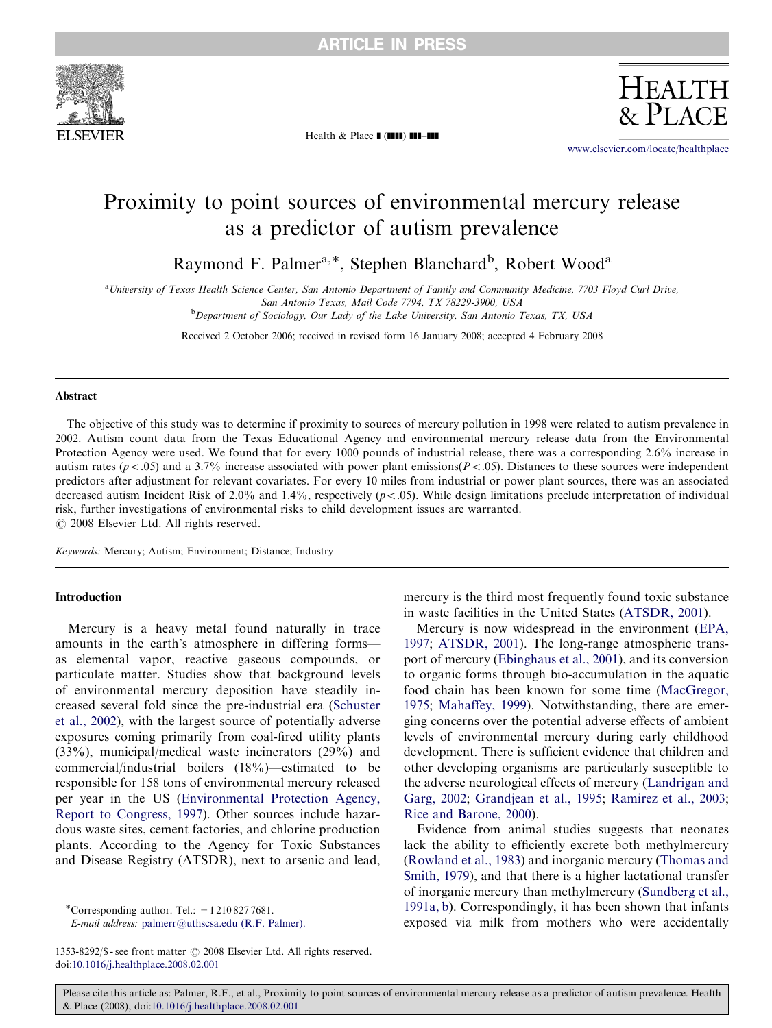

Health  $\&$  Place  $\blacksquare$  ( $\blacksquare\blacksquare$ )  $\blacksquare\blacksquare-\blacksquare\blacksquare$ 

<www.elsevier.com/locate/healthplace>

**HEALTH**  $\&$  PLACE

# Proximity to point sources of environmental mercury release as a predictor of autism prevalence

Raymond F. Palmer<sup>a,\*</sup>, Stephen Blanchard<sup>b</sup>, Robert Wood<sup>a</sup>

a University of Texas Health Science Center, San Antonio Department of Family and Community Medicine, 7703 Floyd Curl Drive,

San Antonio Texas, Mail Code 7794, TX 78229-3900, USA

<sup>b</sup>Department of Sociology, Our Lady of the Lake University, San Antonio Texas, TX, USA

Received 2 October 2006; received in revised form 16 January 2008; accepted 4 February 2008

### Abstract

The objective of this study was to determine if proximity to sources of mercury pollution in 1998 were related to autism prevalence in 2002. Autism count data from the Texas Educational Agency and environmental mercury release data from the Environmental Protection Agency were used. We found that for every 1000 pounds of industrial release, there was a corresponding 2.6% increase in autism rates ( $p < .05$ ) and a 3.7% increase associated with power plant emissions( $P < .05$ ). Distances to these sources were independent predictors after adjustment for relevant covariates. For every 10 miles from industrial or power plant sources, there was an associated decreased autism Incident Risk of 2.0% and 1.4%, respectively  $(p < .05)$ . While design limitations preclude interpretation of individual risk, further investigations of environmental risks to child development issues are warranted.  $C$  2008 Elsevier Ltd. All rights reserved.

Keywords: Mercury; Autism; Environment; Distance; Industry

# Introduction

Mercury is a heavy metal found naturally in trace amounts in the earth's atmosphere in differing forms as elemental vapor, reactive gaseous compounds, or particulate matter. Studies show that background levels of environmental mercury deposition have steadily increased several fold since the pre-industrial era [\(Schuster](#page-6-0) [et al., 2002](#page-6-0)), with the largest source of potentially adverse exposures coming primarily from coal-fired utility plants (33%), municipal/medical waste incinerators (29%) and commercial/industrial boilers (18%)—estimated to be responsible for 158 tons of environmental mercury released per year in the US ([Environmental Protection Agency,](#page-5-0) [Report to Congress, 1997](#page-5-0)). Other sources include hazardous waste sites, cement factories, and chlorine production plants. According to the Agency for Toxic Substances and Disease Registry (ATSDR), next to arsenic and lead,

E-mail address: [palmerr@uthscsa.edu \(R.F. Palmer\).](mailto:palmerr@uthscsa.edu)

mercury is the third most frequently found toxic substance in waste facilities in the United States [\(ATSDR, 2001](#page-5-0)).

Mercury is now widespread in the environment [\(EPA,](#page-5-0) [1997](#page-5-0); [ATSDR, 2001\)](#page-5-0). The long-range atmospheric transport of mercury [\(Ebinghaus et al., 2001](#page-5-0)), and its conversion to organic forms through bio-accumulation in the aquatic food chain has been known for some time ([MacGregor,](#page-6-0) [1975](#page-6-0); [Mahaffey, 1999](#page-6-0)). Notwithstanding, there are emerging concerns over the potential adverse effects of ambient levels of environmental mercury during early childhood development. There is sufficient evidence that children and other developing organisms are particularly susceptible to the adverse neurological effects of mercury [\(Landrigan and](#page-6-0) [Garg, 2002](#page-6-0); [Grandjean et al., 1995;](#page-6-0) [Ramirez et al., 2003;](#page-6-0) [Rice and Barone, 2000](#page-6-0)).

Evidence from animal studies suggests that neonates lack the ability to efficiently excrete both methylmercury ([Rowland et al., 1983\)](#page-6-0) and inorganic mercury [\(Thomas and](#page-6-0) [Smith, 1979](#page-6-0)), and that there is a higher lactational transfer of inorganic mercury than methylmercury ([Sundberg et al.,](#page-6-0) [1991a, b](#page-6-0)). Correspondingly, it has been shown that infants exposed via milk from mothers who were accidentally

<sup>\*</sup>Corresponding author. Tel.: +12108277681.

<sup>1353-8292/\$ -</sup> see front matter  $\odot$  2008 Elsevier Ltd. All rights reserved. doi:[10.1016/j.healthplace.2008.02.001](dx.doi.org/10.1016/j.healthplace.2008.02.001)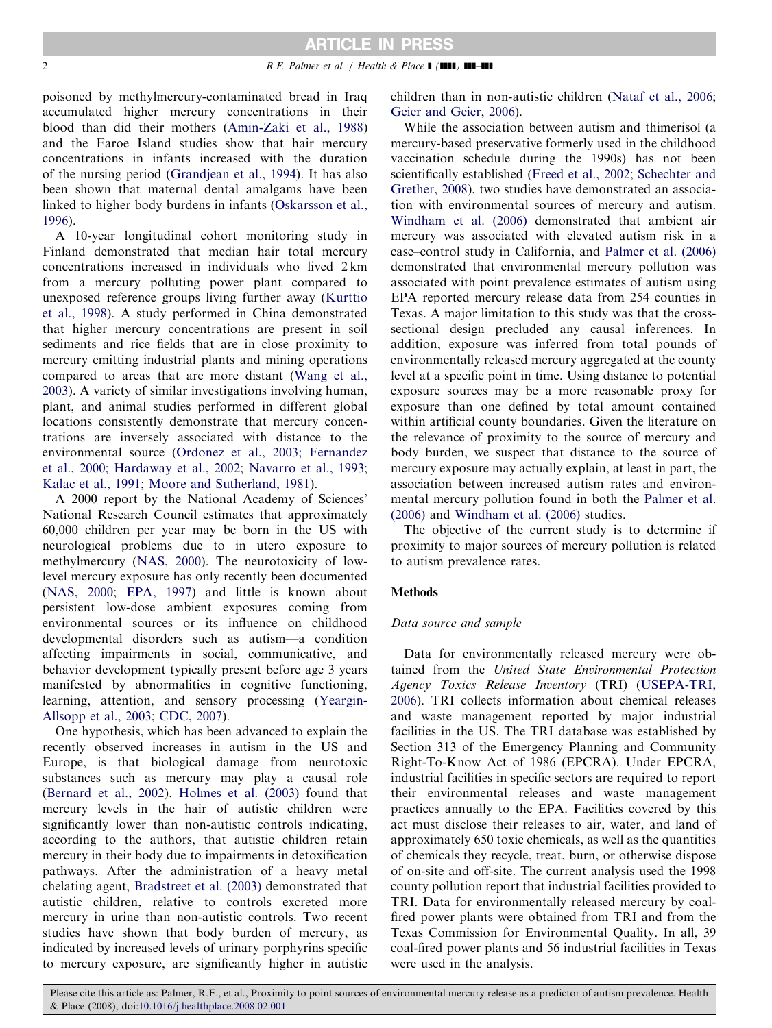poisoned by methylmercury-contaminated bread in Iraq accumulated higher mercury concentrations in their blood than did their mothers ([Amin-Zaki et al., 1988](#page-5-0)) and the Faroe Island studies show that hair mercury concentrations in infants increased with the duration of the nursing period ([Grandjean et al., 1994\)](#page-6-0). It has also been shown that maternal dental amalgams have been linked to higher body burdens in infants [\(Oskarsson et al.,](#page-6-0) [1996\)](#page-6-0).

A 10-year longitudinal cohort monitoring study in Finland demonstrated that median hair total mercury concentrations increased in individuals who lived 2 km from a mercury polluting power plant compared to unexposed reference groups living further away [\(Kurttio](#page-6-0) [et al., 1998\)](#page-6-0). A study performed in China demonstrated that higher mercury concentrations are present in soil sediments and rice fields that are in close proximity to mercury emitting industrial plants and mining operations compared to areas that are more distant [\(Wang et al.,](#page-6-0) [2003\)](#page-6-0). A variety of similar investigations involving human, plant, and animal studies performed in different global locations consistently demonstrate that mercury concentrations are inversely associated with distance to the environmental source [\(Ordonez et al., 2003; Fernandez](#page-6-0) [et al., 2000; Hardaway et al., 2002](#page-6-0); [Navarro et al., 1993](#page-6-0); [Kalac et al., 1991;](#page-6-0) [Moore and Sutherland, 1981](#page-6-0)).

A 2000 report by the National Academy of Sciences' National Research Council estimates that approximately 60,000 children per year may be born in the US with neurological problems due to in utero exposure to methylmercury ([NAS, 2000](#page-6-0)). The neurotoxicity of lowlevel mercury exposure has only recently been documented [\(NAS, 2000](#page-6-0); [EPA, 1997\)](#page-5-0) and little is known about persistent low-dose ambient exposures coming from environmental sources or its influence on childhood developmental disorders such as autism—a condition affecting impairments in social, communicative, and behavior development typically present before age 3 years manifested by abnormalities in cognitive functioning, learning, attention, and sensory processing [\(Yeargin-](#page-6-0)[Allsopp et al., 2003;](#page-6-0) [CDC, 2007](#page-5-0)).

One hypothesis, which has been advanced to explain the recently observed increases in autism in the US and Europe, is that biological damage from neurotoxic substances such as mercury may play a causal role [\(Bernard et al., 2002\)](#page-5-0). [Holmes et al. \(2003\)](#page-6-0) found that mercury levels in the hair of autistic children were significantly lower than non-autistic controls indicating, according to the authors, that autistic children retain mercury in their body due to impairments in detoxification pathways. After the administration of a heavy metal chelating agent, [Bradstreet et al. \(2003\)](#page-5-0) demonstrated that autistic children, relative to controls excreted more mercury in urine than non-autistic controls. Two recent studies have shown that body burden of mercury, as indicated by increased levels of urinary porphyrins specific to mercury exposure, are significantly higher in autistic

children than in non-autistic children [\(Nataf et al., 2006](#page-6-0); [Geier and Geier, 2006](#page-6-0)).

While the association between autism and thimerisol (a mercury-based preservative formerly used in the childhood vaccination schedule during the 1990s) has not been scientifically established ([Freed et al., 2002](#page-6-0); [Schechter and](#page-6-0) [Grether, 2008\)](#page-6-0), two studies have demonstrated an association with environmental sources of mercury and autism. [Windham et al. \(2006\)](#page-6-0) demonstrated that ambient air mercury was associated with elevated autism risk in a case–control study in California, and [Palmer et al. \(2006\)](#page-6-0) demonstrated that environmental mercury pollution was associated with point prevalence estimates of autism using EPA reported mercury release data from 254 counties in Texas. A major limitation to this study was that the crosssectional design precluded any causal inferences. In addition, exposure was inferred from total pounds of environmentally released mercury aggregated at the county level at a specific point in time. Using distance to potential exposure sources may be a more reasonable proxy for exposure than one defined by total amount contained within artificial county boundaries. Given the literature on the relevance of proximity to the source of mercury and body burden, we suspect that distance to the source of mercury exposure may actually explain, at least in part, the association between increased autism rates and environmental mercury pollution found in both the [Palmer et al.](#page-6-0) [\(2006\)](#page-6-0) and [Windham et al. \(2006\)](#page-6-0) studies.

The objective of the current study is to determine if proximity to major sources of mercury pollution is related to autism prevalence rates.

## Methods

### Data source and sample

Data for environmentally released mercury were obtained from the United State Environmental Protection Agency Toxics Release Inventory (TRI) [\(USEPA-TRI,](#page-6-0) [2006\)](#page-6-0). TRI collects information about chemical releases and waste management reported by major industrial facilities in the US. The TRI database was established by Section 313 of the Emergency Planning and Community Right-To-Know Act of 1986 (EPCRA). Under EPCRA, industrial facilities in specific sectors are required to report their environmental releases and waste management practices annually to the EPA. Facilities covered by this act must disclose their releases to air, water, and land of approximately 650 toxic chemicals, as well as the quantities of chemicals they recycle, treat, burn, or otherwise dispose of on-site and off-site. The current analysis used the 1998 county pollution report that industrial facilities provided to TRI. Data for environmentally released mercury by coalfired power plants were obtained from TRI and from the Texas Commission for Environmental Quality. In all, 39 coal-fired power plants and 56 industrial facilities in Texas were used in the analysis.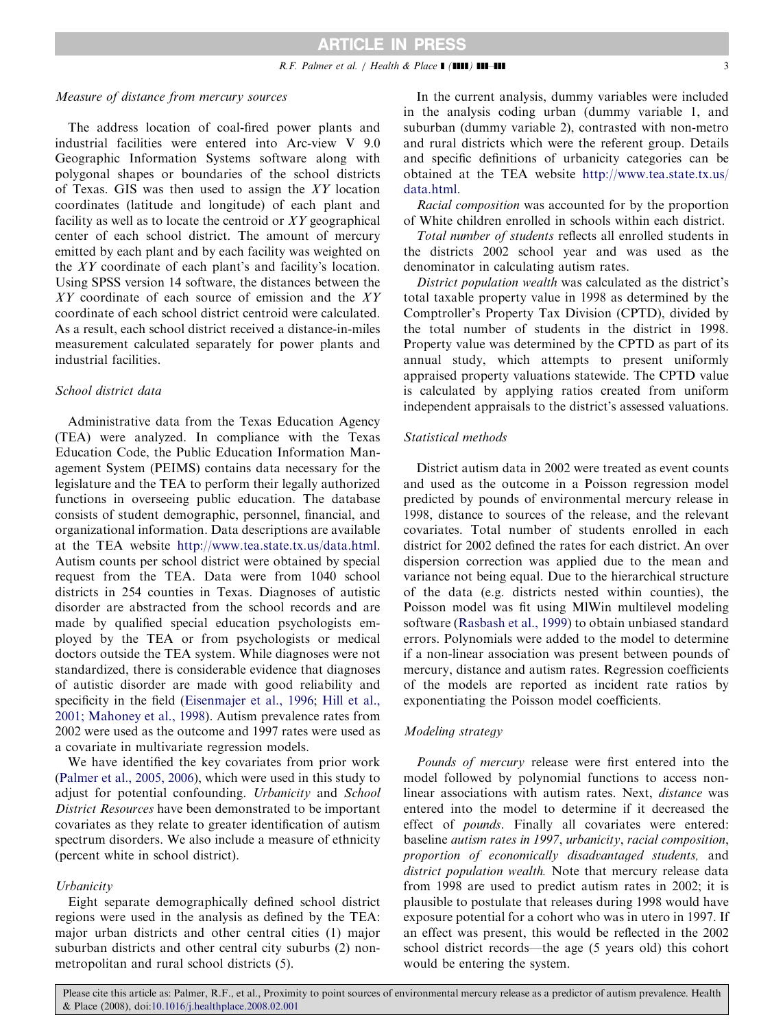## Measure of distance from mercury sources

The address location of coal-fired power plants and industrial facilities were entered into Arc-view V 9.0 Geographic Information Systems software along with polygonal shapes or boundaries of the school districts of Texas. GIS was then used to assign the XY location coordinates (latitude and longitude) of each plant and facility as well as to locate the centroid or  $XY$  geographical center of each school district. The amount of mercury emitted by each plant and by each facility was weighted on the XY coordinate of each plant's and facility's location. Using SPSS version 14 software, the distances between the XY coordinate of each source of emission and the XY coordinate of each school district centroid were calculated. As a result, each school district received a distance-in-miles measurement calculated separately for power plants and industrial facilities.

## School district data

Administrative data from the Texas Education Agency (TEA) were analyzed. In compliance with the Texas Education Code, the Public Education Information Management System (PEIMS) contains data necessary for the legislature and the TEA to perform their legally authorized functions in overseeing public education. The database consists of student demographic, personnel, financial, and organizational information. Data descriptions are available at the TEA website [http://www.tea.state.tx.us/data.html.](http://www.tea.state.tx.us/data.html) Autism counts per school district were obtained by special request from the TEA. Data were from 1040 school districts in 254 counties in Texas. Diagnoses of autistic disorder are abstracted from the school records and are made by qualified special education psychologists employed by the TEA or from psychologists or medical doctors outside the TEA system. While diagnoses were not standardized, there is considerable evidence that diagnoses of autistic disorder are made with good reliability and specificity in the field ([Eisenmajer et al., 1996](#page-5-0); [Hill et al.,](#page-6-0) [2001; Mahoney et al., 1998](#page-6-0)). Autism prevalence rates from 2002 were used as the outcome and 1997 rates were used as a covariate in multivariate regression models.

We have identified the key covariates from prior work ([Palmer et al., 2005, 2006\)](#page-6-0), which were used in this study to adjust for potential confounding. Urbanicity and School District Resources have been demonstrated to be important covariates as they relate to greater identification of autism spectrum disorders. We also include a measure of ethnicity (percent white in school district).

## **Urbanicity**

Eight separate demographically defined school district regions were used in the analysis as defined by the TEA: major urban districts and other central cities (1) major suburban districts and other central city suburbs (2) nonmetropolitan and rural school districts (5).

In the current analysis, dummy variables were included in the analysis coding urban (dummy variable 1, and suburban (dummy variable 2), contrasted with non-metro and rural districts which were the referent group. Details and specific definitions of urbanicity categories can be obtained at the TEA website [http://www.tea.state.tx.us/](http://www.tea.state.tx.us/data.html) [data.html.](http://www.tea.state.tx.us/data.html)

Racial composition was accounted for by the proportion of White children enrolled in schools within each district.

Total number of students reflects all enrolled students in the districts 2002 school year and was used as the denominator in calculating autism rates.

District population wealth was calculated as the district's total taxable property value in 1998 as determined by the Comptroller's Property Tax Division (CPTD), divided by the total number of students in the district in 1998. Property value was determined by the CPTD as part of its annual study, which attempts to present uniformly appraised property valuations statewide. The CPTD value is calculated by applying ratios created from uniform independent appraisals to the district's assessed valuations.

## Statistical methods

District autism data in 2002 were treated as event counts and used as the outcome in a Poisson regression model predicted by pounds of environmental mercury release in 1998, distance to sources of the release, and the relevant covariates. Total number of students enrolled in each district for 2002 defined the rates for each district. An over dispersion correction was applied due to the mean and variance not being equal. Due to the hierarchical structure of the data (e.g. districts nested within counties), the Poisson model was fit using MlWin multilevel modeling software ([Rasbash et al., 1999\)](#page-6-0) to obtain unbiased standard errors. Polynomials were added to the model to determine if a non-linear association was present between pounds of mercury, distance and autism rates. Regression coefficients of the models are reported as incident rate ratios by exponentiating the Poisson model coefficients.

## Modeling strategy

Pounds of mercury release were first entered into the model followed by polynomial functions to access nonlinear associations with autism rates. Next, distance was entered into the model to determine if it decreased the effect of pounds. Finally all covariates were entered: baseline autism rates in 1997, urbanicity, racial composition, proportion of economically disadvantaged students, and district population wealth. Note that mercury release data from 1998 are used to predict autism rates in 2002; it is plausible to postulate that releases during 1998 would have exposure potential for a cohort who was in utero in 1997. If an effect was present, this would be reflected in the 2002 school district records—the age (5 years old) this cohort would be entering the system.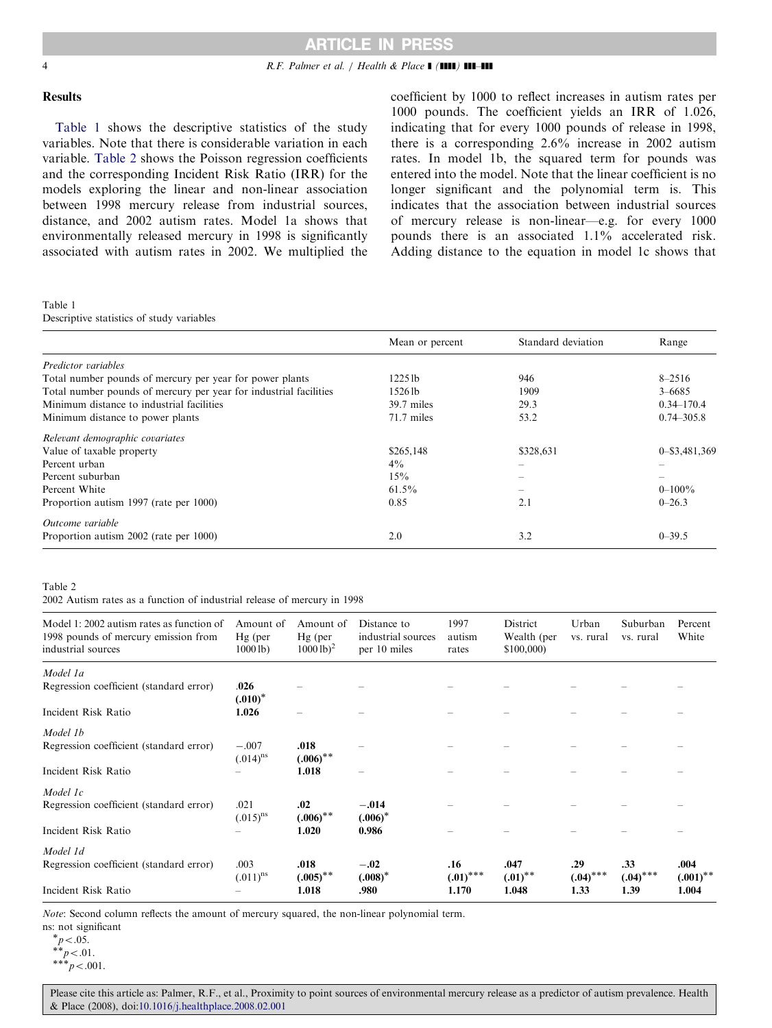### <span id="page-3-0"></span>4 R.F. Palmer et al. / Health & Place  $\blacksquare$  ( $\blacksquare$ )  $\blacksquare$

coefficient by 1000 to reflect increases in autism rates per 1000 pounds. The coefficient yields an IRR of 1.026, indicating that for every 1000 pounds of release in 1998, there is a corresponding 2.6% increase in 2002 autism rates. In model 1b, the squared term for pounds was entered into the model. Note that the linear coefficient is no longer significant and the polynomial term is. This indicates that the association between industrial sources of mercury release is non-linear—e.g. for every 1000 pounds there is an associated 1.1% accelerated risk. Adding distance to the equation in model 1c shows that

## Results

Table 1 shows the descriptive statistics of the study variables. Note that there is considerable variation in each variable. Table 2 shows the Poisson regression coefficients and the corresponding Incident Risk Ratio (IRR) for the models exploring the linear and non-linear association between 1998 mercury release from industrial sources, distance, and 2002 autism rates. Model 1a shows that environmentally released mercury in 1998 is significantly associated with autism rates in 2002. We multiplied the

| Table 1                                                           |                     |                    |                |
|-------------------------------------------------------------------|---------------------|--------------------|----------------|
| Descriptive statistics of study variables                         |                     |                    |                |
|                                                                   | Mean or percent     | Standard deviation | Range          |
| Predictor variables                                               |                     |                    |                |
| Total number pounds of mercury per year for power plants          | 1225 lb             | 946                | $8 - 2516$     |
| Total number pounds of mercury per year for industrial facilities | 1526 <sub>1</sub> b | 1909               | $3 - 6685$     |
| Minimum distance to industrial facilities                         | 39.7 miles          | 29.3               | $0.34 - 170.4$ |
| Minimum distance to power plants                                  | 71.7 miles          | 53.2               | $0.74 - 305.8$ |
| Relevant demographic covariates                                   |                     |                    |                |
| Value of taxable property                                         | \$265,148           | \$328,631          | 0-\$3,481,369  |
| Percent urban                                                     | $4\%$               |                    |                |
| Percent suburban                                                  | 15%                 |                    |                |
| Percent White                                                     | $61.5\%$            |                    | $0 - 100\%$    |
| Proportion autism 1997 (rate per 1000)                            | 0.85                | 2.1                | $0 - 26.3$     |
| Outcome variable                                                  |                     |                    |                |
| Proportion autism 2002 (rate per 1000)                            | 2.0                 | 3.2                | $0 - 39.5$     |

#### Table 2

2002 Autism rates as a function of industrial release of mercury in 1998

| Model 1: 2002 autism rates as function of<br>1998 pounds of mercury emission from<br>industrial sources | Amount of<br>$Hg$ (per<br>10001b | Amount of<br>$Hg$ (per<br>$10001b)^2$ | Distance to<br>industrial sources<br>per 10 miles | 1997<br>autism<br>rates | District<br>Wealth (per<br>\$100,000) | Urban<br>vs. rural | Suburban<br>vs. rural | Percent<br>White    |
|---------------------------------------------------------------------------------------------------------|----------------------------------|---------------------------------------|---------------------------------------------------|-------------------------|---------------------------------------|--------------------|-----------------------|---------------------|
| Model 1a                                                                                                |                                  |                                       |                                                   |                         |                                       |                    |                       |                     |
| Regression coefficient (standard error)                                                                 | .026<br>$(.010)^*$               |                                       |                                                   |                         |                                       |                    |                       |                     |
| Incident Risk Ratio                                                                                     | 1.026                            |                                       |                                                   |                         |                                       |                    |                       |                     |
| Model 1b                                                                                                |                                  |                                       |                                                   |                         |                                       |                    |                       |                     |
| Regression coefficient (standard error)                                                                 | $-.007$<br>$(.014)^{ns}$         | .018<br>$(.006)$ **                   |                                                   |                         |                                       |                    |                       |                     |
| Incident Risk Ratio                                                                                     |                                  | 1.018                                 |                                                   |                         |                                       |                    |                       |                     |
| Model 1c                                                                                                |                                  |                                       |                                                   |                         |                                       |                    |                       |                     |
| Regression coefficient (standard error)                                                                 | .021<br>$(.015)^{ns}$            | .02<br>$(.006)$ **                    | $-.014$<br>$(.006)^*$                             |                         |                                       |                    |                       |                     |
| Incident Risk Ratio                                                                                     |                                  | 1.020                                 | 0.986                                             |                         |                                       |                    |                       |                     |
| Model 1d                                                                                                |                                  |                                       |                                                   |                         |                                       |                    |                       |                     |
| Regression coefficient (standard error)                                                                 | .003<br>$(.011)^{ns}$            | .018<br>$(.005)$ **                   | $-.02$<br>$(.008)^*$                              | .16<br>$(.01)$ ***      | .047<br>$(.01)^{**}$                  | .29<br>$(.04)$ *** | .33<br>$(.04)$ ***    | .004<br>$(.001)$ ** |
| Incident Risk Ratio                                                                                     |                                  | 1.018                                 | .980                                              | 1.170                   | 1.048                                 | 1.33               | 1.39                  | 1.004               |

Note: Second column reflects the amount of mercury squared, the non-linear polynomial term.

ns: not significant

 $p < .05.$ <br>\*\*p < .01.<br>\*\*\*p < .00

 $**_p < .001$ .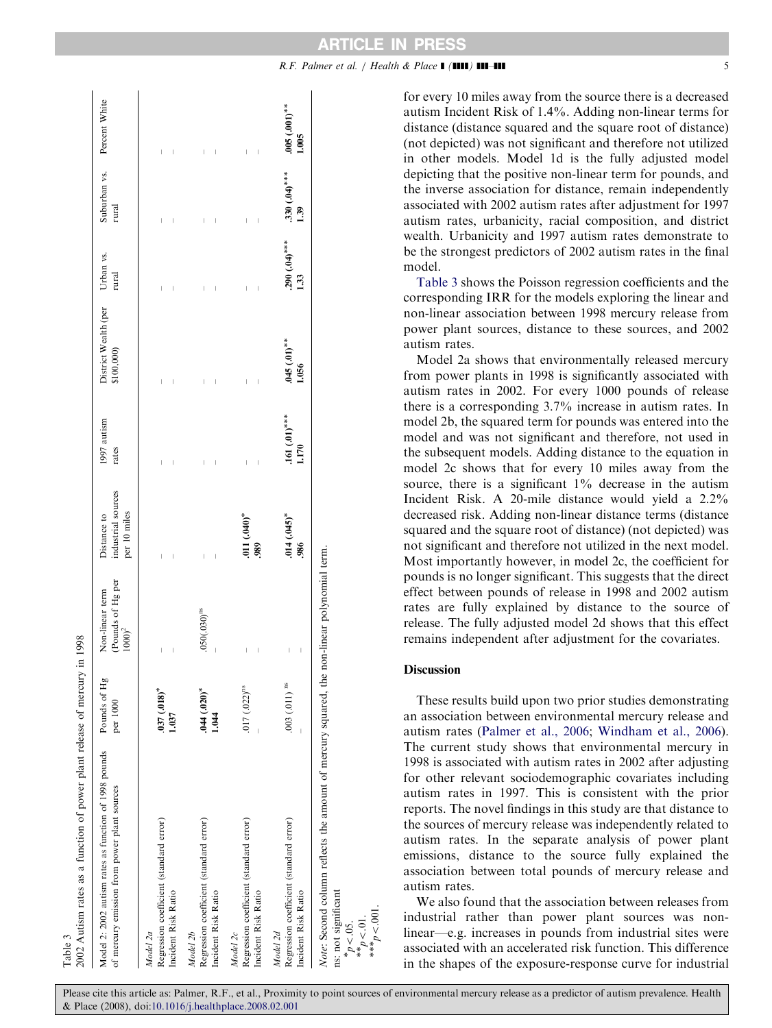| 2002 Autism rates as a function of power plant release of mercury<br>Table 3                                                                                          |                           | in 1998                                                           |                                                   |                         |                                              |                         |                                     |                               |
|-----------------------------------------------------------------------------------------------------------------------------------------------------------------------|---------------------------|-------------------------------------------------------------------|---------------------------------------------------|-------------------------|----------------------------------------------|-------------------------|-------------------------------------|-------------------------------|
| Model 2: 2002 autism rates as function of 1998 pounds<br>of mercury emission from power plant sources                                                                 | Pounds of Hg<br>per 1000  | (Pounds of Hg per<br>Non-linear term<br>10000 <sup>2</sup>        | industrial sources<br>per 10 miles<br>Distance to | 1997 autism<br>rates    | District Wealth (per Urban vs.<br>\$100,000) | rural                   | Suburban vs. Percent White<br>rural |                               |
| Regression coefficient (standard error)<br>Incident Risk Ratio<br>Model 2a                                                                                            | $0.181(0.18)$ *<br>1.037  | $\overline{\phantom{a}}$<br>$\begin{array}{c} \end{array}$        |                                                   |                         |                                              |                         | ľ                                   |                               |
| Regression coefficient (standard error)<br>Incident Risk Ratio<br>Model 2b                                                                                            | $.044(.020)*$<br>1.044    | $.050(.030)$ <sup>ns</sup><br>$\begin{array}{c} \end{array}$      | ľ                                                 |                         |                                              |                         | Ï                                   |                               |
| Regression coefficient (standard error)<br>Incident Risk Ratio<br>Model 2c                                                                                            | $.017(022)^{ns}$          | Ï                                                                 | $011(.040)$ *<br>989                              |                         |                                              |                         | Ï<br>Ï                              | Ī<br>$\overline{\phantom{a}}$ |
| Regression coefficient (standard error)<br>Incident Risk Ratio<br>Model 2d                                                                                            | $.003(011)$ <sup>ns</sup> | $\overline{\phantom{a}}$<br>$\begin{array}{c} \hline \end{array}$ | $0.045$ <sup>*</sup><br>986                       | $.161(01)$ ***<br>1.170 | $045(01)$ **<br>1.056                        | $.290(.04)$ ***<br>1.33 | $.330(.04)$ ***<br>1.39             | $.005(0.001)$ **<br>1.005     |
| Note: Second column reflects the amount of mercury squared, the non-linear polynomial term.<br>ns: not significant<br>* $p < 05$ .<br>** $p < 01$ .<br>*** $p < 01$ . |                           |                                                                   |                                                   |                         |                                              |                         |                                     |                               |

for every 10 miles away from the source there is a decreased autism Incident Risk of 1.4%. Adding non-linear terms for distance (distance squared and the square root of distance) (not depicted) was not significant and therefore not utilized in other models. Model 1d is the fully adjusted model depicting that the positive non-linear term for pounds, and the inverse association for distance, remain independently associated with 2002 autism rates after adjustment for 1997 autism rates, urbanicity, racial composition, and district wealth. Urbanicity and 1997 autism rates demonstrate to be the strongest predictors of 2002 autism rates in the final model.

Table 3 shows the Poisson regression coefficients and the corresponding IRR for the models exploring the linear and non-linear association between 1998 mercury release from power plant sources, distance to these sources, and 2002 autism rates.

Model 2a shows that environmentally released mercury from power plants in 1998 is significantly associated with autism rates in 2002. For every 1000 pounds of release there is a corresponding 3.7% increase in autism rates. In model 2b, the squared term for pounds was entered into the model and was not significant and therefore, not used in the subsequent models. Adding distance to the equation in model 2c shows that for every 10 miles away from the source, there is a significant  $1\%$  decrease in the autism Incident Risk. A 20-mile distance would yield a 2.2% decreased risk. Adding non-linear distance terms (distance squared and the square root of distance) (not depicted) was not significant and therefore not utilized in the next model. Most importantly however, in model 2c, the coefficient for pounds is no longer significant. This suggests that the direct effect between pounds of release in 1998 and 2002 autism rates are fully explained by distance to the source of release. The fully adjusted model 2d shows that this effect remains independent after adjustment for the covariates.

# Discussion

These results build upon two prior studies demonstrating an association between environmental mercury release and autism rates ([Palmer et al., 2006;](#page-6-0) [Windham et al., 2006\)](#page-6-0). The current study shows that environmental mercury in 1998 is associated with autism rates in 2002 after adjusting for other relevant sociodemographic covariates including autism rates in 1997. This is consistent with the prior reports. The novel findings in this study are that distance to the sources of mercury release was independently related to autism rates. In the separate analysis of power plant emissions, distance to the source fully explained the association between total pounds of mercury release and autism rates.

We also found that the association between releases from industrial rather than power plant sources was nonlinear—e.g. increases in pounds from industrial sites were associated with an accelerated risk function. This difference in the shapes of the exposure-response curve for industrial

 $R.F.$  Palmer et al. / Health & Place  $\blacksquare$  ( $\blacksquare$ )  $\blacksquare$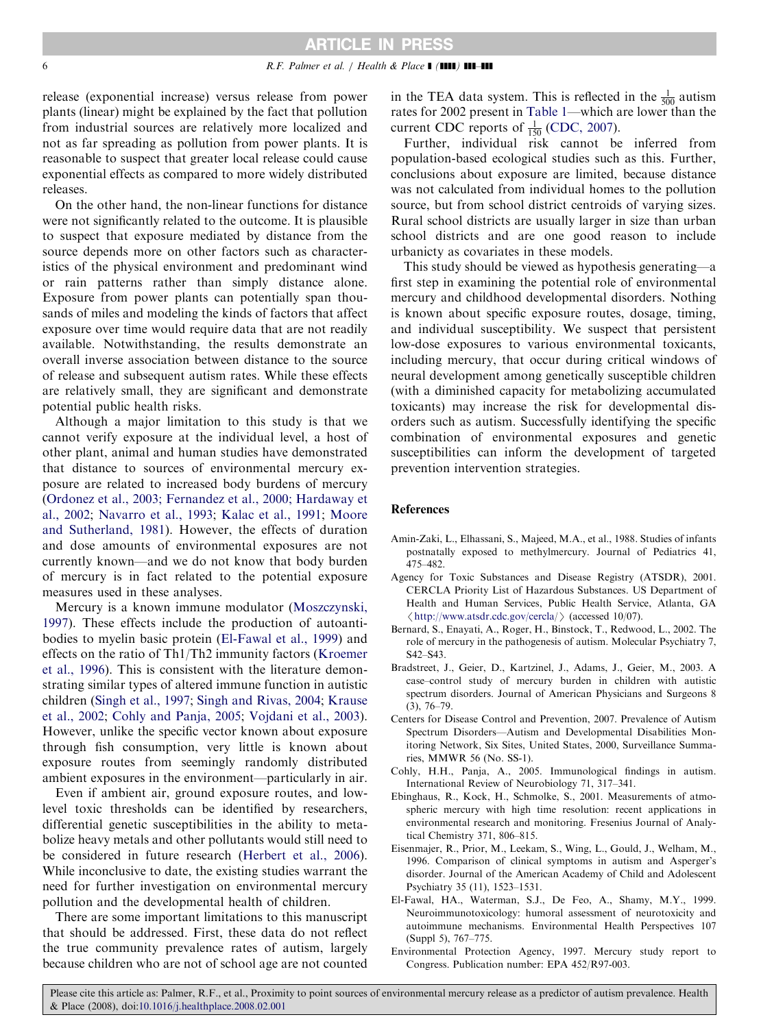<span id="page-5-0"></span>release (exponential increase) versus release from power plants (linear) might be explained by the fact that pollution from industrial sources are relatively more localized and not as far spreading as pollution from power plants. It is reasonable to suspect that greater local release could cause exponential effects as compared to more widely distributed releases.

On the other hand, the non-linear functions for distance were not significantly related to the outcome. It is plausible to suspect that exposure mediated by distance from the source depends more on other factors such as characteristics of the physical environment and predominant wind or rain patterns rather than simply distance alone. Exposure from power plants can potentially span thousands of miles and modeling the kinds of factors that affect exposure over time would require data that are not readily available. Notwithstanding, the results demonstrate an overall inverse association between distance to the source of release and subsequent autism rates. While these effects are relatively small, they are significant and demonstrate potential public health risks.

Although a major limitation to this study is that we cannot verify exposure at the individual level, a host of other plant, animal and human studies have demonstrated that distance to sources of environmental mercury exposure are related to increased body burdens of mercury [\(Ordonez et al., 2003; Fernandez et al., 2000; Hardaway et](#page-6-0) [al., 2002;](#page-6-0) [Navarro et al., 1993](#page-6-0); [Kalac et al., 1991](#page-6-0); [Moore](#page-6-0) [and Sutherland, 1981](#page-6-0)). However, the effects of duration and dose amounts of environmental exposures are not currently known—and we do not know that body burden of mercury is in fact related to the potential exposure measures used in these analyses.

Mercury is a known immune modulator [\(Moszczynski,](#page-6-0) [1997\)](#page-6-0). These effects include the production of autoantibodies to myelin basic protein (El-Fawal et al., 1999) and effects on the ratio of Th1/Th2 immunity factors [\(Kroemer](#page-6-0) [et al., 1996\)](#page-6-0). This is consistent with the literature demonstrating similar types of altered immune function in autistic children [\(Singh et al., 1997;](#page-6-0) [Singh and Rivas, 2004;](#page-6-0) [Krause](#page-6-0) [et al., 2002;](#page-6-0) Cohly and Panja, 2005; [Vojdani et al., 2003\)](#page-6-0). However, unlike the specific vector known about exposure through fish consumption, very little is known about exposure routes from seemingly randomly distributed ambient exposures in the environment—particularly in air.

Even if ambient air, ground exposure routes, and lowlevel toxic thresholds can be identified by researchers, differential genetic susceptibilities in the ability to metabolize heavy metals and other pollutants would still need to be considered in future research [\(Herbert et al., 2006\)](#page-6-0). While inconclusive to date, the existing studies warrant the need for further investigation on environmental mercury pollution and the developmental health of children.

There are some important limitations to this manuscript that should be addressed. First, these data do not reflect the true community prevalence rates of autism, largely because children who are not of school age are not counted in the TEA data system. This is reflected in the  $\frac{1}{500}$  autism rates for 2002 present in [Table 1](#page-3-0)—which are lower than the current CDC reports of  $\frac{1}{150}$  (CDC, 2007).

Further, individual risk cannot be inferred from population-based ecological studies such as this. Further, conclusions about exposure are limited, because distance was not calculated from individual homes to the pollution source, but from school district centroids of varying sizes. Rural school districts are usually larger in size than urban school districts and are one good reason to include urbanicty as covariates in these models.

This study should be viewed as hypothesis generating—a first step in examining the potential role of environmental mercury and childhood developmental disorders. Nothing is known about specific exposure routes, dosage, timing, and individual susceptibility. We suspect that persistent low-dose exposures to various environmental toxicants, including mercury, that occur during critical windows of neural development among genetically susceptible children (with a diminished capacity for metabolizing accumulated toxicants) may increase the risk for developmental disorders such as autism. Successfully identifying the specific combination of environmental exposures and genetic susceptibilities can inform the development of targeted prevention intervention strategies.

#### References

- Amin-Zaki, L., Elhassani, S., Majeed, M.A., et al., 1988. Studies of infants postnatally exposed to methylmercury. Journal of Pediatrics 41, 475–482.
- Agency for Toxic Substances and Disease Registry (ATSDR), 2001. CERCLA Priority List of Hazardous Substances. US Department of Health and Human Services, Public Health Service, Atlanta, GA  $\langle$  [http://www.atsdr.cdc.gov/cercla/](http://www.atsdr.cdc.gov/cercla) $\rangle$  (accessed 10/07).
- Bernard, S., Enayati, A., Roger, H., Binstock, T., Redwood, L., 2002. The role of mercury in the pathogenesis of autism. Molecular Psychiatry 7, S42–S43.
- Bradstreet, J., Geier, D., Kartzinel, J., Adams, J., Geier, M., 2003. A case–control study of mercury burden in children with autistic spectrum disorders. Journal of American Physicians and Surgeons 8 (3), 76–79.
- Centers for Disease Control and Prevention, 2007. Prevalence of Autism Spectrum Disorders—Autism and Developmental Disabilities Monitoring Network, Six Sites, United States, 2000, Surveillance Summaries, MMWR 56 (No. SS-1).
- Cohly, H.H., Panja, A., 2005. Immunological findings in autism. International Review of Neurobiology 71, 317–341.
- Ebinghaus, R., Kock, H., Schmolke, S., 2001. Measurements of atmospheric mercury with high time resolution: recent applications in environmental research and monitoring. Fresenius Journal of Analytical Chemistry 371, 806–815.
- Eisenmajer, R., Prior, M., Leekam, S., Wing, L., Gould, J., Welham, M., 1996. Comparison of clinical symptoms in autism and Asperger's disorder. Journal of the American Academy of Child and Adolescent Psychiatry 35 (11), 1523–1531.
- El-Fawal, HA., Waterman, S.J., De Feo, A., Shamy, M.Y., 1999. Neuroimmunotoxicology: humoral assessment of neurotoxicity and autoimmune mechanisms. Environmental Health Perspectives 107 (Suppl 5), 767–775.
- Environmental Protection Agency, 1997. Mercury study report to Congress. Publication number: EPA 452/R97-003.